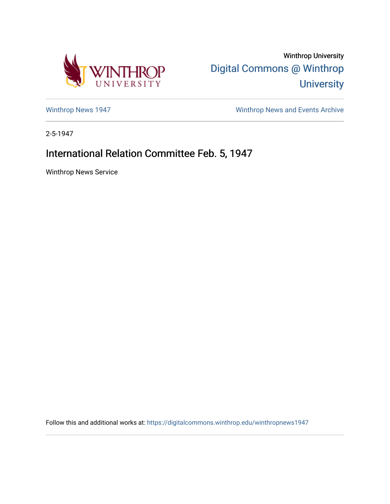

Winthrop University [Digital Commons @ Winthrop](https://digitalcommons.winthrop.edu/)  **University** 

[Winthrop News 1947](https://digitalcommons.winthrop.edu/winthropnews1947) [Winthrop News and Events Archive](https://digitalcommons.winthrop.edu/winthropnewsarchives) 

2-5-1947

## International Relation Committee Feb. 5, 1947

Winthrop News Service

Follow this and additional works at: [https://digitalcommons.winthrop.edu/winthropnews1947](https://digitalcommons.winthrop.edu/winthropnews1947?utm_source=digitalcommons.winthrop.edu%2Fwinthropnews1947%2F75&utm_medium=PDF&utm_campaign=PDFCoverPages)